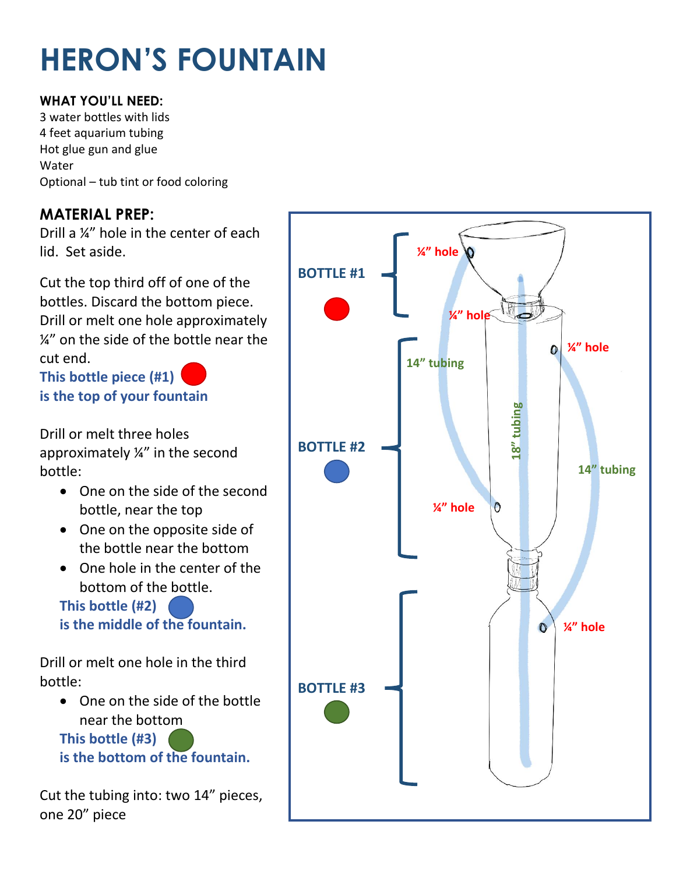# **HERON'S FOUNTAIN**

#### **WHAT YOU'LL NEED:**

3 water bottles with lids 4 feet aquarium tubing Hot glue gun and glue Water Optional – tub tint or food coloring

#### **MATERIAL PREP:**

Drill a ¼" hole in the center of each lid. Set aside.

Cut the top third off of one of the bottles. Discard the bottom piece. Drill or melt one hole approximately ¼" on the side of the bottle near the cut end.

**This bottle piece (#1) is the top of your fountain** 

Drill or melt three holes approximately ¼" in the second bottle:

- One on the side of the second bottle, near the top
- One on the opposite side of the bottle near the bottom
- One hole in the center of the bottom of the bottle.

**This bottle (#2) is the middle of the fountain.**

Drill or melt one hole in the third bottle:

 One on the side of the bottle near the bottom **This bottle (#3)** 

**is the bottom of the fountain.**

Cut the tubing into: two 14" pieces, one 20" piece

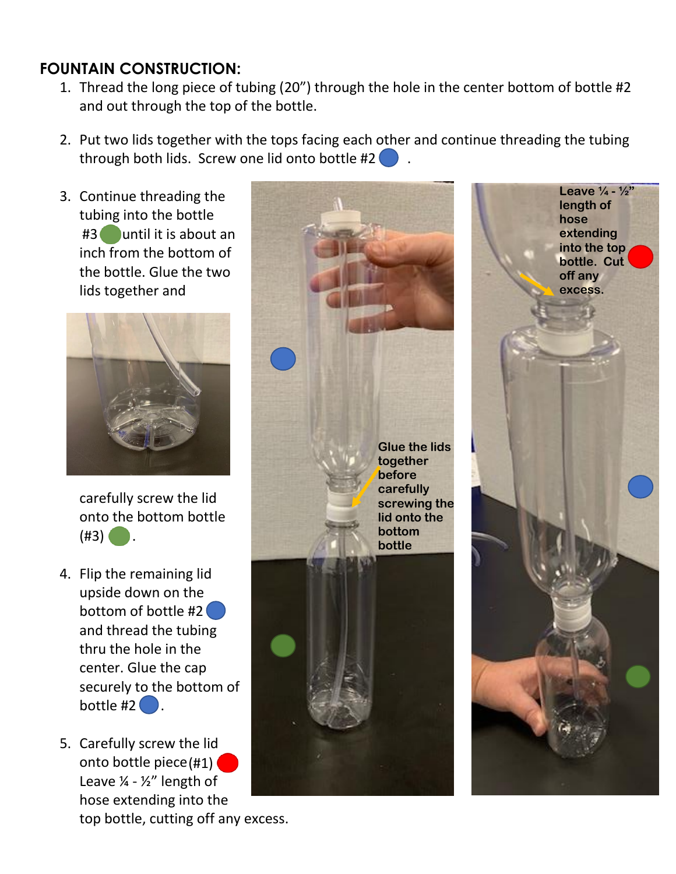### **FOUNTAIN CONSTRUCTION:**

- 1. Thread the long piece of tubing (20") through the hole in the center bottom of bottle #2 and out through the top of the bottle.
- 2. Put two lids together with the tops facing each other and continue threading the tubing through both lids. Screw one lid onto bottle #2
- 3. Continue threading the tubing into the bottle #3 until it is about an inch from the bottom of the bottle. Glue the two lids together and



carefully screw the lid onto the bottom bottle  $(43)$   $\bullet$ .

- 4. Flip the remaining lid upside down on the bottom of bottle #2 and thread the tubing thru the hole in the center. Glue the cap securely to the bottom of bottle  $#2$   $\bullet$ .
- 5. Carefully screw the lid onto bottle piece $(\#1)$   $\bigcirc$ Leave  $\frac{1}{4}$  -  $\frac{1}{2}$ " length of hose extending into the top bottle, cutting off any excess.



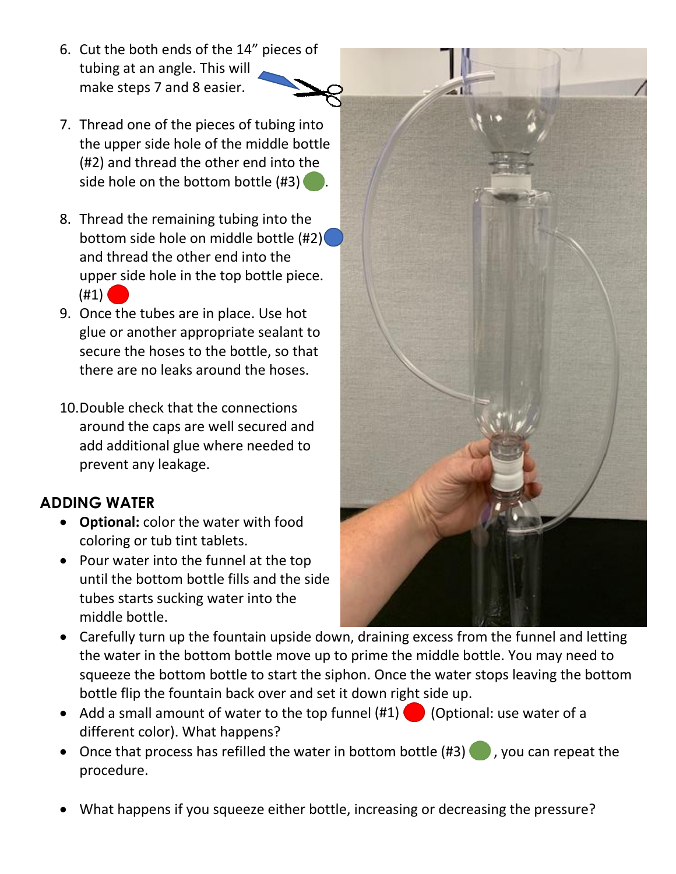- 6. Cut the both ends of the 14" pieces of tubing at an angle. This will make steps 7 and 8 easier.
- 7. Thread one of the pieces of tubing into the upper side hole of the middle bottle (#2) and thread the other end into the side hole on the bottom bottle  $(#3)$ .
- 8. Thread the remaining tubing into the bottom side hole on middle bottle (#2) and thread the other end into the upper side hole in the top bottle piece.  $(41)$
- 9. Once the tubes are in place. Use hot glue or another appropriate sealant to secure the hoses to the bottle, so that there are no leaks around the hoses.
- 10.Double check that the connections around the caps are well secured and add additional glue where needed to prevent any leakage.

## **ADDING WATER**

- **Optional:** color the water with food coloring or tub tint tablets.
- Pour water into the funnel at the top until the bottom bottle fills and the side tubes starts sucking water into the middle bottle.



- Carefully turn up the fountain upside down, draining excess from the funnel and letting the water in the bottom bottle move up to prime the middle bottle. You may need to squeeze the bottom bottle to start the siphon. Once the water stops leaving the bottom bottle flip the fountain back over and set it down right side up.
- Add a small amount of water to the top funnel  $(\#1)$  (Optional: use water of a different color). What happens?
- Once that process has refilled the water in bottom bottle  $(\#3)$ , you can repeat the procedure.
- What happens if you squeeze either bottle, increasing or decreasing the pressure?